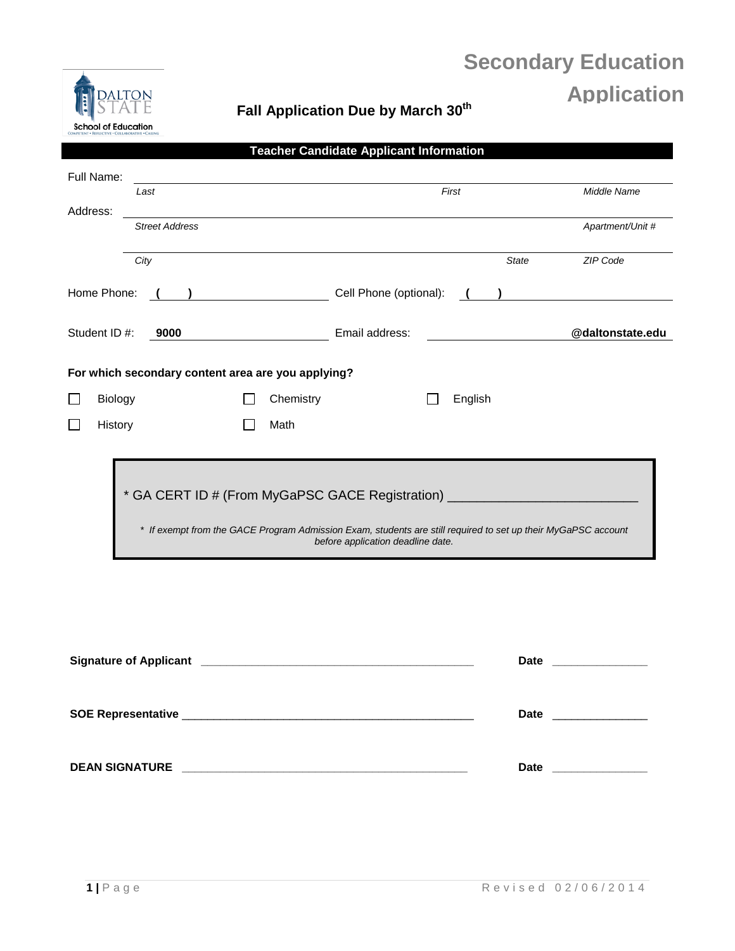# **Secondary Education Application**



## **Fall Application Due by March 30th**

| Full Name:            | Last                                                                                                                                               |                                                    |                |                                                              | First   |                  | Middle Name      |
|-----------------------|----------------------------------------------------------------------------------------------------------------------------------------------------|----------------------------------------------------|----------------|--------------------------------------------------------------|---------|------------------|------------------|
| Address:              |                                                                                                                                                    |                                                    |                |                                                              |         |                  |                  |
|                       | <b>Street Address</b>                                                                                                                              |                                                    |                |                                                              |         |                  | Apartment/Unit # |
|                       | City                                                                                                                                               |                                                    |                |                                                              |         | <b>State</b>     | ZIP Code         |
| Home Phone:           |                                                                                                                                                    |                                                    |                | Cell Phone (optional):                                       | $($ $)$ |                  |                  |
| Student ID #:<br>9000 |                                                                                                                                                    |                                                    | Email address: |                                                              |         | @daltonstate.edu |                  |
|                       |                                                                                                                                                    | For which secondary content area are you applying? |                |                                                              |         |                  |                  |
|                       | <b>Biology</b>                                                                                                                                     |                                                    | Chemistry      |                                                              | English |                  |                  |
|                       | History                                                                                                                                            |                                                    | Math           |                                                              |         |                  |                  |
|                       |                                                                                                                                                    |                                                    |                |                                                              |         |                  |                  |
|                       |                                                                                                                                                    |                                                    |                | * GA CERT ID # (From MyGaPSC GACE Registration) ____________ |         |                  |                  |
|                       | * If exempt from the GACE Program Admission Exam, students are still required to set up their MyGaPSC account<br>before application deadline date. |                                                    |                |                                                              |         |                  |                  |

| <b>Date</b><br><u> 1980 - Jan Barnett, fransk kongresu og den forskellige og det forskellige og det forskellige og det forskellig</u> |
|---------------------------------------------------------------------------------------------------------------------------------------|
| <b>Date</b>                                                                                                                           |
| <b>Date</b><br>the company of the company of the company                                                                              |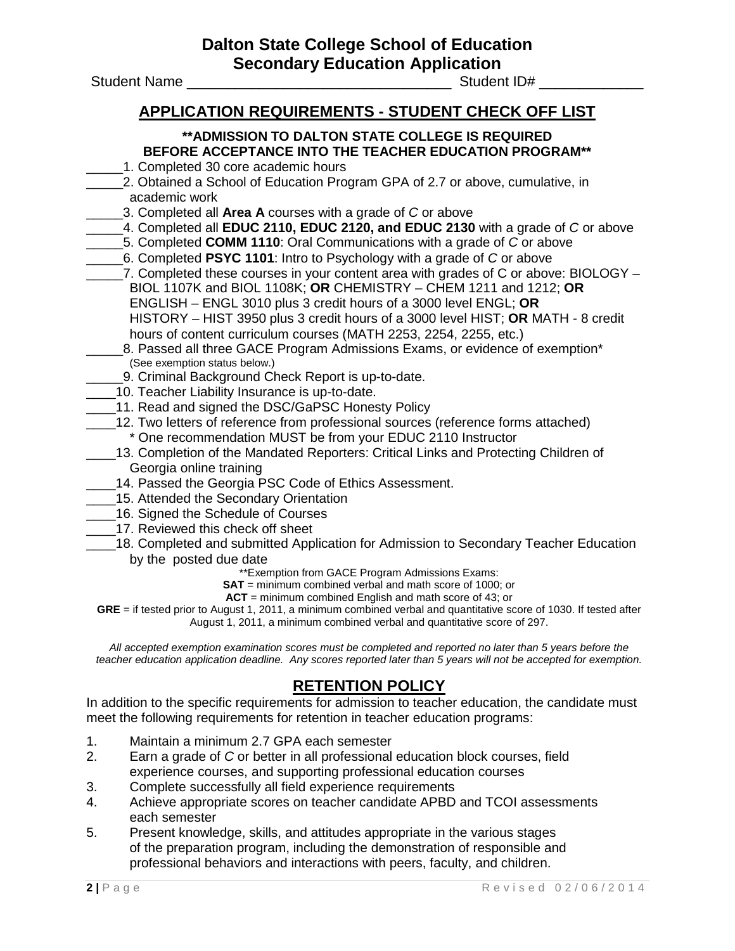**Dalton State College School of Education Secondary Education Application**<br>Student ID#

Student Name

#### **APPLICATION REQUIREMENTS - STUDENT CHECK OFF LIST**

#### **\*\*ADMISSION TO DALTON STATE COLLEGE IS REQUIRED BEFORE ACCEPTANCE INTO THE TEACHER EDUCATION PROGRAM\*\***

- 1. Completed 30 core academic hours
- \_\_\_\_\_2. Obtained a School of Education Program GPA of 2.7 or above, cumulative, in academic work
	- \_\_\_\_\_3. Completed all **Area A** courses with a grade of *C* or above
- \_\_\_\_\_4. Completed all **EDUC 2110, EDUC 2120, and EDUC 2130** with a grade of *C* or above
- \_\_\_\_\_5. Completed **COMM 1110**: Oral Communications with a grade of *C* or above
- \_\_\_\_\_6. Completed **PSYC 1101**: Intro to Psychology with a grade of *C* or above
- 7. Completed these courses in your content area with grades of C or above: BIOLOGY BIOL 1107K and BIOL 1108K; **OR** CHEMISTRY – CHEM 1211 and 1212; **OR** ENGLISH – ENGL 3010 plus 3 credit hours of a 3000 level ENGL; **OR** HISTORY – HIST 3950 plus 3 credit hours of a 3000 level HIST; **OR** MATH - 8 credit hours of content curriculum courses (MATH 2253, 2254, 2255, etc.)
- 8. Passed all three GACE Program Admissions Exams, or evidence of exemption\* (See exemption status below.)
	- \_\_\_\_\_9. Criminal Background Check Report is up-to-date.
- 10. Teacher Liability Insurance is up-to-date.
- 11. Read and signed the DSC/GaPSC Honesty Policy
- \_\_\_\_12. Two letters of reference from professional sources (reference forms attached) \* One recommendation MUST be from your EDUC 2110 Instructor
- 13. Completion of the Mandated Reporters: Critical Links and Protecting Children of Georgia online training
- \_\_\_\_14. Passed the Georgia PSC Code of Ethics Assessment.
- 15. Attended the Secondary Orientation
- \_\_\_\_16. Signed the Schedule of Courses
- 17. Reviewed this check off sheet
- \_\_\_\_18. Completed and submitted Application for Admission to Secondary Teacher Education by the posted due date

\*\*Exemption from GACE Program Admissions Exams:

**SAT** = minimum combined verbal and math score of 1000; or

**ACT** = minimum combined English and math score of 43; or

**GRE** = if tested prior to August 1, 2011, a minimum combined verbal and quantitative score of 1030. If tested after August 1, 2011, a minimum combined verbal and quantitative score of 297.

*All accepted exemption examination scores must be completed and reported no later than 5 years before the teacher education application deadline. Any scores reported later than 5 years will not be accepted for exemption.*

#### **RETENTION POLICY**

In addition to the specific requirements for admission to teacher education, the candidate must meet the following requirements for retention in teacher education programs:

- 1. Maintain a minimum 2.7 GPA each semester
- 2. Earn a grade of *C* or better in all professional education block courses, field experience courses, and supporting professional education courses
- 3. Complete successfully all field experience requirements
- 4. Achieve appropriate scores on teacher candidate APBD and TCOI assessments each semester
- 5. Present knowledge, skills, and attitudes appropriate in the various stages of the preparation program, including the demonstration of responsible and professional behaviors and interactions with peers, faculty, and children.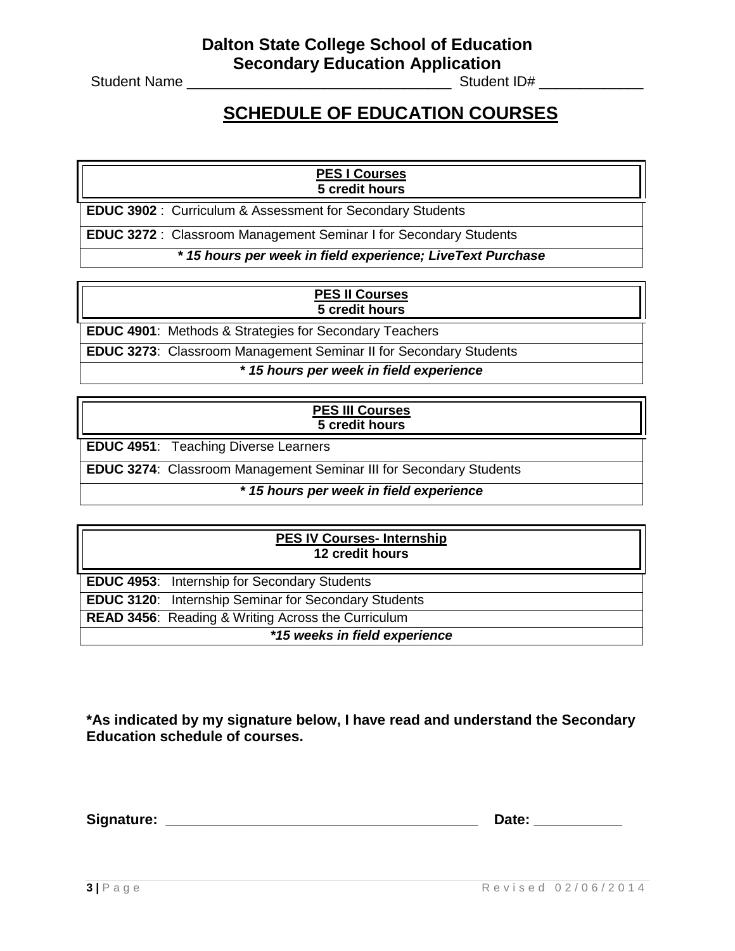Student Name \_\_\_\_\_\_\_\_\_\_\_\_\_\_\_\_\_\_\_\_\_\_\_\_\_\_\_\_\_\_\_\_\_ Student ID# \_\_\_\_\_\_\_\_\_\_\_\_\_

## **SCHEDULE OF EDUCATION COURSES**

#### **PES I Courses 5 credit hours**

**EDUC 3902** : Curriculum & Assessment for Secondary Students

**EDUC 3272** : Classroom Management Seminar I for Secondary Students

*\* 15 hours per week in field experience; LiveText Purchase*

#### **PES II Courses 5 credit hours**

**EDUC 4901**: Methods & Strategies for Secondary Teachers

**EDUC 3273**: Classroom Management Seminar II for Secondary Students

*\* 15 hours per week in field experience*

#### **PES III Courses 5 credit hours**

**EDUC 4951**: Teaching Diverse Learners

**EDUC 3274**: Classroom Management Seminar III for Secondary Students

#### *\* 15 hours per week in field experience*

## **PES IV Courses- Internship 12 credit hours EDUC 4953**: Internship for Secondary Students **EDUC 3120**: Internship Seminar for Secondary Students **READ 3456**: Reading & Writing Across the Curriculum *\*15 weeks in field experience*

**\*As indicated by my signature below, I have read and understand the Secondary Education schedule of courses.**

**Signature: \_\_\_\_\_\_\_\_\_\_\_\_\_\_\_\_\_\_\_\_\_\_\_\_\_\_\_\_\_\_\_\_\_\_\_\_\_\_\_ Date: \_\_\_\_\_\_\_\_\_\_\_**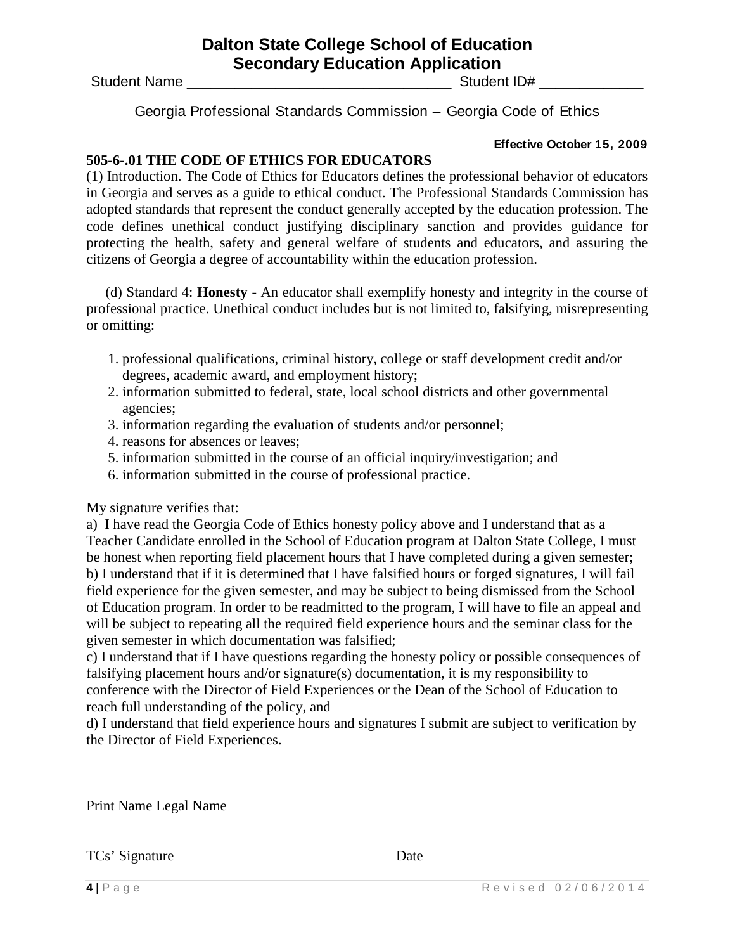#### **Dalton State College School of Education Secondary Education Application**

Student Name \_\_\_\_\_\_\_\_\_\_\_\_\_\_\_\_\_\_\_\_\_\_\_\_\_\_\_\_\_\_\_\_\_ Student ID# \_\_\_\_\_\_\_\_\_\_\_\_\_

Georgia Professional Standards Commission – Georgia Code of Ethics

#### **Effective October 15, 2009**

#### **505-6-.01 THE CODE OF ETHICS FOR EDUCATORS**

(1) Introduction. The Code of Ethics for Educators defines the professional behavior of educators in Georgia and serves as a guide to ethical conduct. The Professional Standards Commission has adopted standards that represent the conduct generally accepted by the education profession. The code defines unethical conduct justifying disciplinary sanction and provides guidance for protecting the health, safety and general welfare of students and educators, and assuring the citizens of Georgia a degree of accountability within the education profession.

(d) Standard 4: **Honesty** - An educator shall exemplify honesty and integrity in the course of professional practice. Unethical conduct includes but is not limited to, falsifying, misrepresenting or omitting:

- 1. professional qualifications, criminal history, college or staff development credit and/or degrees, academic award, and employment history;
- 2. information submitted to federal, state, local school districts and other governmental agencies;
- 3. information regarding the evaluation of students and/or personnel;
- 4. reasons for absences or leaves;
- 5. information submitted in the course of an official inquiry/investigation; and
- 6. information submitted in the course of professional practice.

My signature verifies that:

a) I have read the Georgia Code of Ethics honesty policy above and I understand that as a Teacher Candidate enrolled in the School of Education program at Dalton State College, I must be honest when reporting field placement hours that I have completed during a given semester; b) I understand that if it is determined that I have falsified hours or forged signatures, I will fail field experience for the given semester, and may be subject to being dismissed from the School of Education program. In order to be readmitted to the program, I will have to file an appeal and will be subject to repeating all the required field experience hours and the seminar class for the given semester in which documentation was falsified;

c) I understand that if I have questions regarding the honesty policy or possible consequences of falsifying placement hours and/or signature(s) documentation, it is my responsibility to conference with the Director of Field Experiences or the Dean of the School of Education to reach full understanding of the policy, and

d) I understand that field experience hours and signatures I submit are subject to verification by the Director of Field Experiences.

Print Name Legal Name

TCs' Signature Date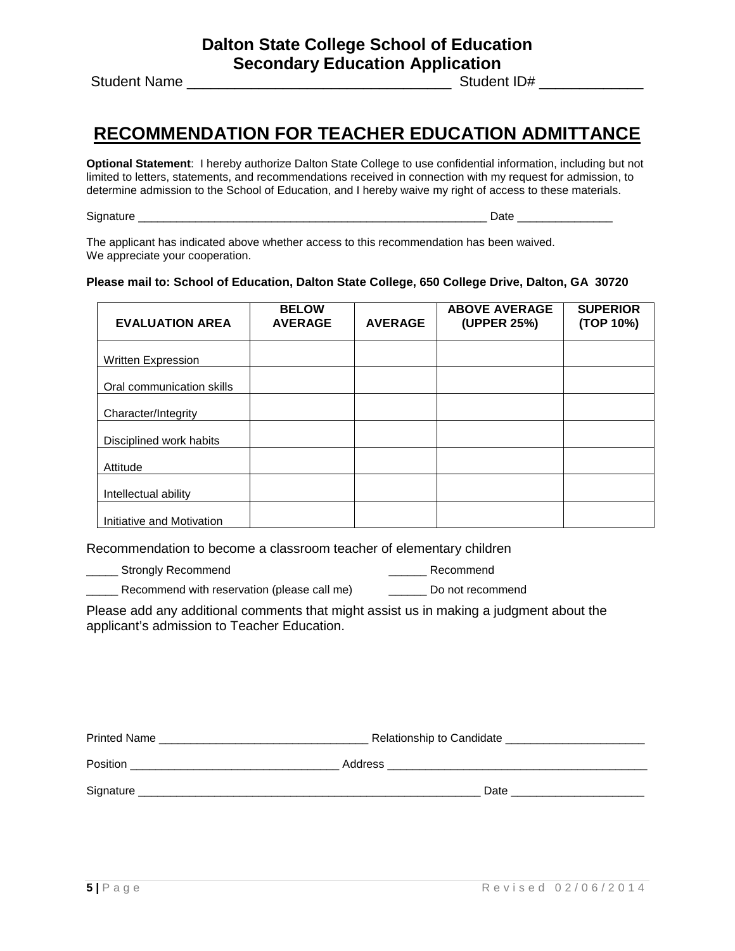Student Name \_\_\_\_\_\_\_\_\_\_\_\_\_\_\_\_\_\_\_\_\_\_\_\_\_\_\_\_\_\_\_\_\_ Student ID# \_\_\_\_\_\_\_\_\_\_\_\_\_

## **RECOMMENDATION FOR TEACHER EDUCATION ADMITTANCE**

**Optional Statement**: I hereby authorize Dalton State College to use confidential information, including but not limited to letters, statements, and recommendations received in connection with my request for admission, to determine admission to the School of Education, and I hereby waive my right of access to these materials.

Signature \_\_\_\_\_\_\_\_\_\_\_\_\_\_\_\_\_\_\_\_\_\_\_\_\_\_\_\_\_\_\_\_\_\_\_\_\_\_\_\_\_\_\_\_\_\_\_\_\_\_\_\_\_\_\_ Date \_\_\_\_\_\_\_\_\_\_\_\_\_\_\_

The applicant has indicated above whether access to this recommendation has been waived. We appreciate your cooperation.

#### **Please mail to: School of Education, Dalton State College, 650 College Drive, Dalton, GA 30720**

| <b>EVALUATION AREA</b>    | <b>BELOW</b><br><b>AVERAGE</b> | <b>AVERAGE</b> | <b>ABOVE AVERAGE</b><br>(UPPER 25%) | <b>SUPERIOR</b><br>(TOP 10%) |
|---------------------------|--------------------------------|----------------|-------------------------------------|------------------------------|
| <b>Written Expression</b> |                                |                |                                     |                              |
| Oral communication skills |                                |                |                                     |                              |
| Character/Integrity       |                                |                |                                     |                              |
| Disciplined work habits   |                                |                |                                     |                              |
| Attitude                  |                                |                |                                     |                              |
| Intellectual ability      |                                |                |                                     |                              |
| Initiative and Motivation |                                |                |                                     |                              |

Recommendation to become a classroom teacher of elementary children

Lacker Strongly Recommend and the strongly Recommend and the strongly Recommend and the strongly Recommend

Local Recommend with reservation (please call me) Local Do not recommend

Please add any additional comments that might assist us in making a judgment about the applicant's admission to Teacher Education.

| <b>Printed Name</b> | Relationship to Candidate |  |
|---------------------|---------------------------|--|
| Position            | Address                   |  |
| Signature           | Date                      |  |